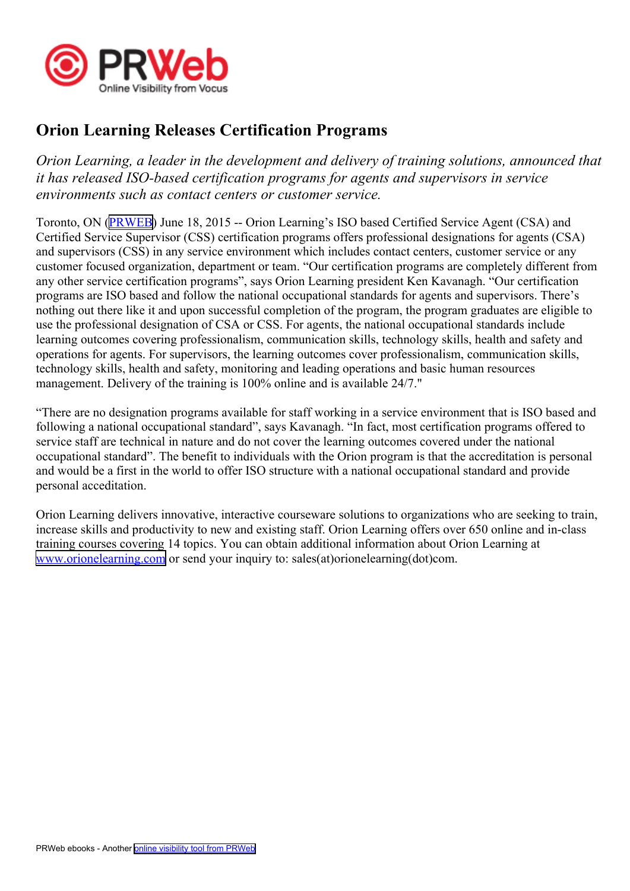

## **Orion Learning Releases Certification Programs**

*Orion Learning, <sup>a</sup> leader in the development and delivery of training solutions, announced that it has released ISO-based certification programs for agents and supervisors in service environments such as contact centers or customer service.*

Toronto, ON ([PRWEB](http://www.prweb.com)) June 18, 2015 -- Orion Learning's ISO based Certified Service Agent (CSA) and Certified Service Supervisor (CSS) certification programs offers professional designations for agents (CSA) and supervisors (CSS) in any service environment which includes contact centers, customer service or any customer focused organization, department or team. "Our certification programs are completely different from any other service certification programs", says Orion Learning president Ken Kavanagh. "Our certification programs are ISO based and follow the national occupational standards for agents and supervisors. There's nothing out there like it and upon successful completion of the program, the program graduates are eligible to use the professional designation of CSA or CSS. For agents, the national occupational standards include learning outcomes covering professionalism, communication skills, technology skills, health and safety and operations for agents. For supervisors, the learning outcomes cover professionalism, communication skills, technology skills, health and safety, monitoring and leading operations and basic human resources management. Delivery of the training is 100% online and is available 24/7."

"There are no designation programs available for staff working in <sup>a</sup> service environment that is ISO based and following <sup>a</sup> national occupational standard", says Kavanagh. "In fact, most certification programs offered to service staff are technical in nature and do not cover the learning outcomes covered under the national occupational standard". The benefit to individuals with the Orion program is that the accreditation is personal and would be <sup>a</sup> first in the world to offer ISO structure with <sup>a</sup> national occupational standard and provide personal acceditation.

Orion Learning delivers innovative, interactive courseware solutions to organizations who are seeking to train, increase skills and productivity to new and existing staff. Orion Learning offers over 650 online and in-class training courses covering 14 topics. You can obtain additional information about Orion Learning at [www.orionelearning.com](http://www.orionelearning.com) or send your inquiry to: sales(at)orionelearning(dot)com.